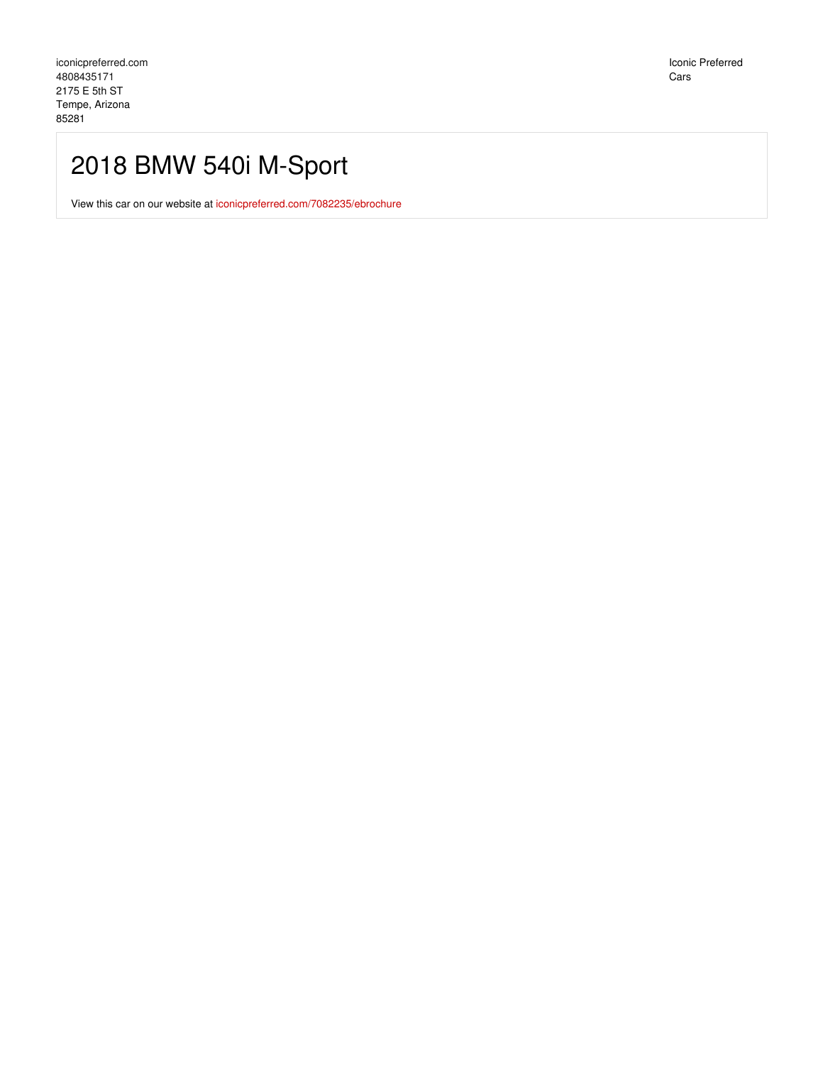## 2018 BMW 540i M-Sport

View this car on our website at [iconicpreferred.com/7082235/ebrochure](https://iconicpreferred.com/vehicle/7082235/2018-bmw-540i-m-sport-tempe-arizona-85281/7082235/ebrochure)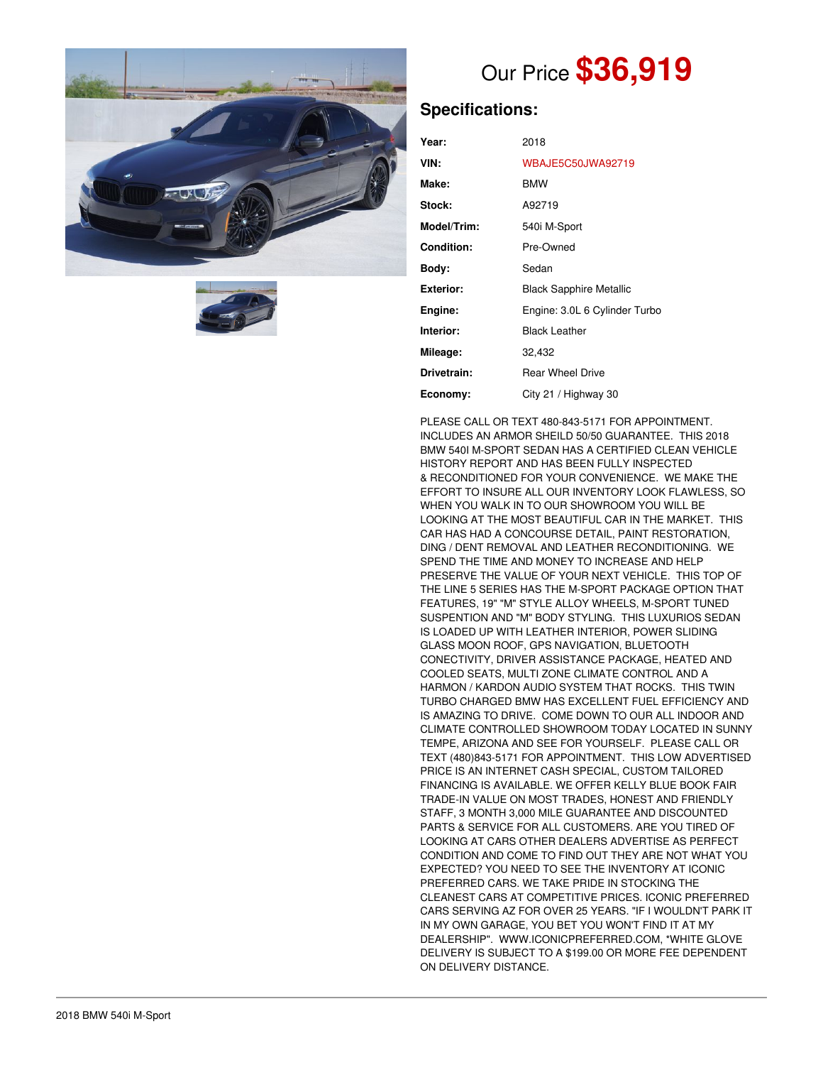



# Our Price **\$36,919**

## **Specifications:**

| Year:            | 2018                           |
|------------------|--------------------------------|
| VIN:             | <b>WBAJE5C50JWA92719</b>       |
| Make:            | <b>BMW</b>                     |
| Stock:           | A92719                         |
| Model/Trim:      | 540i M-Sport                   |
| Condition:       | Pre-Owned                      |
| Body:            | Sedan                          |
| <b>Exterior:</b> | <b>Black Sapphire Metallic</b> |
| Engine:          | Engine: 3.0L 6 Cylinder Turbo  |
| Interior:        | <b>Black Leather</b>           |
| Mileage:         | 32,432                         |
| Drivetrain:      | <b>Rear Wheel Drive</b>        |
| Economy:         | City 21 / Highway 30           |

PLEASE CALL OR TEXT 480-843-5171 FOR APPOINTMENT. INCLUDES AN ARMOR SHEILD 50/50 GUARANTEE. THIS 2018 BMW 540I M-SPORT SEDAN HAS A CERTIFIED CLEAN VEHICLE HISTORY REPORT AND HAS BEEN FULLY INSPECTED & RECONDITIONED FOR YOUR CONVENIENCE. WE MAKE THE EFFORT TO INSURE ALL OUR INVENTORY LOOK FLAWLESS, SO WHEN YOU WALK IN TO OUR SHOWROOM YOU WILL BE LOOKING AT THE MOST BEAUTIFUL CAR IN THE MARKET. THIS CAR HAS HAD A CONCOURSE DETAIL, PAINT RESTORATION, DING / DENT REMOVAL AND LEATHER RECONDITIONING. WE SPEND THE TIME AND MONEY TO INCREASE AND HELP PRESERVE THE VALUE OF YOUR NEXT VEHICLE. THIS TOP OF THE LINE 5 SERIES HAS THE M-SPORT PACKAGE OPTION THAT FEATURES, 19" "M" STYLE ALLOY WHEELS, M-SPORT TUNED SUSPENTION AND "M" BODY STYLING. THIS LUXURIOS SEDAN IS LOADED UP WITH LEATHER INTERIOR, POWER SLIDING GLASS MOON ROOF, GPS NAVIGATION, BLUETOOTH CONECTIVITY, DRIVER ASSISTANCE PACKAGE, HEATED AND COOLED SEATS, MULTI ZONE CLIMATE CONTROL AND A HARMON / KARDON AUDIO SYSTEM THAT ROCKS. THIS TWIN TURBO CHARGED BMW HAS EXCELLENT FUEL EFFICIENCY AND IS AMAZING TO DRIVE. COME DOWN TO OUR ALL INDOOR AND CLIMATE CONTROLLED SHOWROOM TODAY LOCATED IN SUNNY TEMPE, ARIZONA AND SEE FOR YOURSELF. PLEASE CALL OR TEXT (480)843-5171 FOR APPOINTMENT. THIS LOW ADVERTISED PRICE IS AN INTERNET CASH SPECIAL, CUSTOM TAILORED FINANCING IS AVAILABLE. WE OFFER KELLY BLUE BOOK FAIR TRADE-IN VALUE ON MOST TRADES, HONEST AND FRIENDLY STAFF, 3 MONTH 3,000 MILE GUARANTEE AND DISCOUNTED PARTS & SERVICE FOR ALL CUSTOMERS. ARE YOU TIRED OF LOOKING AT CARS OTHER DEALERS ADVERTISE AS PERFECT CONDITION AND COME TO FIND OUT THEY ARE NOT WHAT YOU EXPECTED? YOU NEED TO SEE THE INVENTORY AT ICONIC PREFERRED CARS. WE TAKE PRIDE IN STOCKING THE CLEANEST CARS AT COMPETITIVE PRICES. ICONIC PREFERRED CARS SERVING AZ FOR OVER 25 YEARS. "IF I WOULDN'T PARK IT IN MY OWN GARAGE, YOU BET YOU WON'T FIND IT AT MY DEALERSHIP". WWW.ICONICPREFERRED.COM, \*WHITE GLOVE DELIVERY IS SUBJECT TO A \$199.00 OR MORE FEE DEPENDENT ON DELIVERY DISTANCE.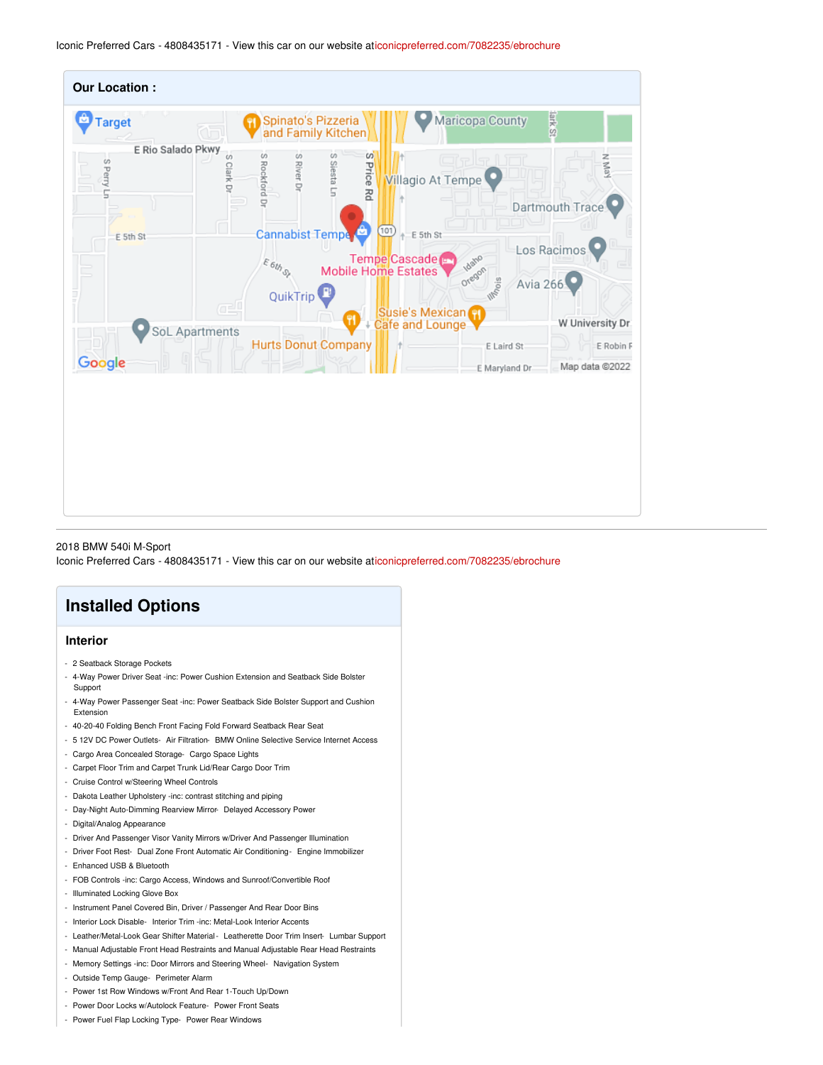Iconic Preferred Cars - 4808435171 - View this car on our website a[ticonicpreferred.com/7082235/ebrochure](https://iconicpreferred.com/vehicle/7082235/2018-bmw-540i-m-sport-tempe-arizona-85281/7082235/ebrochure)



2018 BMW 540i M-Sport

Iconic Preferred Cars - 4808435171 - View this car on our website a[ticonicpreferred.com/7082235/ebrochure](https://iconicpreferred.com/vehicle/7082235/2018-bmw-540i-m-sport-tempe-arizona-85281/7082235/ebrochure)

### **Installed Options**

#### **Interior**

- 2 Seatback Storage Pockets
- 4-Way Power Driver Seat -inc: Power Cushion Extension and Seatback Side Bolster Support
- 4-Way Power Passenger Seat -inc: Power Seatback Side Bolster Support and Cushion Extension
- 40-20-40 Folding Bench Front Facing Fold Forward Seatback Rear Seat
- 5 12V DC Power Outlets- Air Filtration- BMW Online Selective Service Internet Access
- Cargo Area Concealed Storage- Cargo Space Lights
- Carpet Floor Trim and Carpet Trunk Lid/Rear Cargo Door Trim
- Cruise Control w/Steering Wheel Controls
- Dakota Leather Upholstery -inc: contrast stitching and piping
- Day-Night Auto-Dimming Rearview Mirror- Delayed Accessory Power
- Digital/Analog Appearance
- Driver And Passenger Visor Vanity Mirrors w/Driver And Passenger Illumination
- Driver Foot Rest- Dual Zone Front Automatic Air Conditioning- Engine Immobilizer
- Enhanced USB & Bluetooth
- FOB Controls -inc: Cargo Access, Windows and Sunroof/Convertible Roof
- Illuminated Locking Glove Box
- Instrument Panel Covered Bin, Driver / Passenger And Rear Door Bins
- Interior Lock Disable- Interior Trim -inc: Metal-Look Interior Accents
- Leather/Metal-Look Gear Shifter Material Leatherette Door Trim Insert- Lumbar Support
- Manual Adjustable Front Head Restraints and Manual Adjustable Rear Head Restraints
- Memory Settings -inc: Door Mirrors and Steering Wheel- Navigation System
- Outside Temp Gauge- Perimeter Alarm
- Power 1st Row Windows w/Front And Rear 1-Touch Up/Down
- Power Door Locks w/Autolock Feature- Power Front Seats
- Power Fuel Flap Locking Type- Power Rear Windows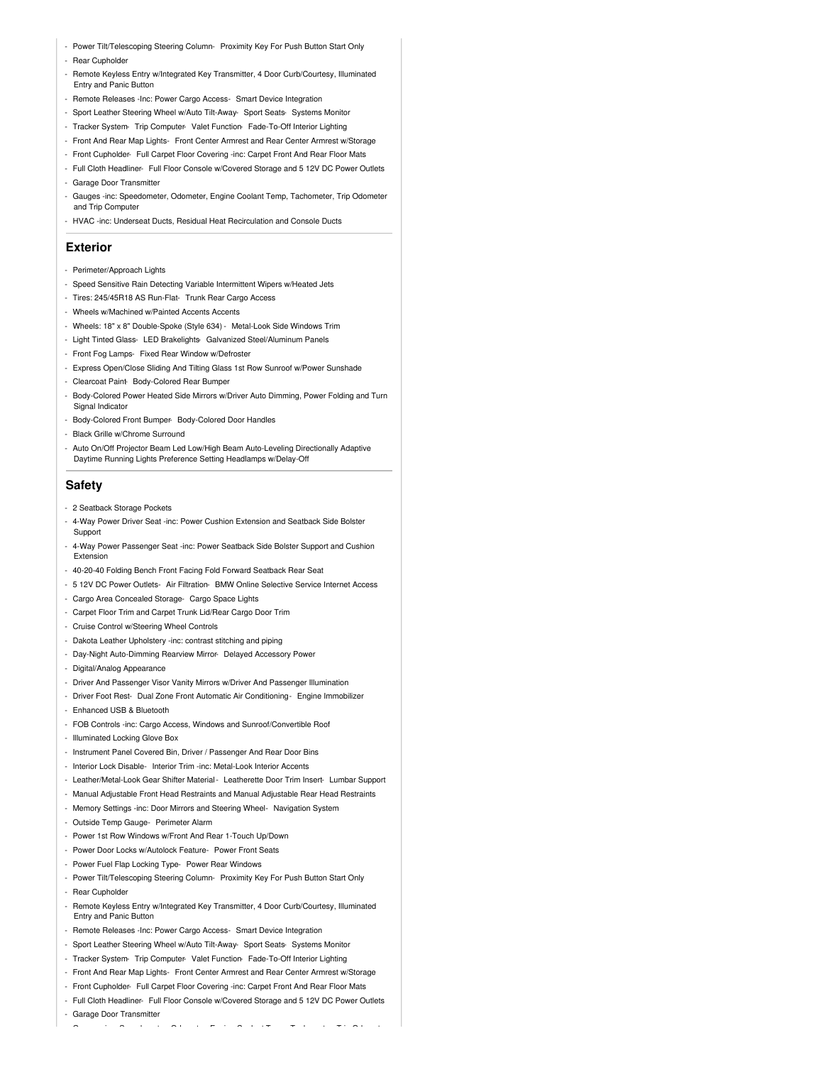- Power Tilt/Telescoping Steering Column- Proximity Key For Push Button Start Only
- Rear Cupholder
- Remote Keyless Entry w/Integrated Key Transmitter, 4 Door Curb/Courtesy, Illuminated **Entry and Panic Buttor**
- Remote Releases -Inc: Power Cargo Access- Smart Device Integration
- Sport Leather Steering Wheel w/Auto Tilt-Away- Sport Seats- Systems Monitor
- Tracker System- Trip Computer- Valet Function- Fade-To-Off Interior Lighting
- Front And Rear Map Lights- Front Center Armrest and Rear Center Armrest w/Storage
- Front Cupholder- Full Carpet Floor Covering -inc: Carpet Front And Rear Floor Mats
- Full Cloth Headliner- Full Floor Console w/Covered Storage and 5 12V DC Power Outlets
- Garage Door Transmitter
- Gauges -inc: Speedometer, Odometer, Engine Coolant Temp, Tachometer, Trip Odometer and Trip Computer
- HVAC -inc: Underseat Ducts, Residual Heat Recirculation and Console Ducts

#### **Exterior**

- Perimeter/Approach Lights
- Speed Sensitive Rain Detecting Variable Intermittent Wipers w/Heated Jets
- Tires: 245/45R18 AS Run-Flat- Trunk Rear Cargo Access
- Wheels w/Machined w/Painted Accents Accents
- Wheels: 18" x 8" Double-Spoke (Style 634) Metal-Look Side Windows Trim
- Light Tinted Glass- LED Brakelights- Galvanized Steel/Aluminum Panels
- Front Fog Lamps- Fixed Rear Window w/Defroster
- Express Open/Close Sliding And Tilting Glass 1st Row Sunroof w/Power Sunshade
- Clearcoat Paint- Body-Colored Rear Bumper
- Body-Colored Power Heated Side Mirrors w/Driver Auto Dimming, Power Folding and Turn Signal Indicator
- Body-Colored Front Bumper- Body-Colored Door Handles
- Black Grille w/Chrome Surround
- Auto On/Off Projector Beam Led Low/High Beam Auto-Leveling Directionally Adaptive Daytime Running Lights Preference Setting Headlamps w/Delay-Off

#### **Safety**

- 2 Seatback Storage Pockets
- 4-Way Power Driver Seat -inc: Power Cushion Extension and Seatback Side Bolster Support
- 4-Way Power Passenger Seat -inc: Power Seatback Side Bolster Support and Cushion Extension
- 40-20-40 Folding Bench Front Facing Fold Forward Seatback Rear Seat
- 5 12V DC Power Outlets- Air Filtration- BMW Online Selective Service Internet Access
- Cargo Area Concealed Storage- Cargo Space Lights
- Carpet Floor Trim and Carpet Trunk Lid/Rear Cargo Door Trim
- Cruise Control w/Steering Wheel Controls
- Dakota Leather Upholstery -inc: contrast stitching and piping
- Day-Night Auto-Dimming Rearview Mirror- Delayed Accessory Power
- Digital/Analog Appearance
- Driver And Passenger Visor Vanity Mirrors w/Driver And Passenger Illumination
- Driver Foot Rest- Dual Zone Front Automatic Air Conditioning Engine Immobilizer
- Enhanced USB & Bluetooth
- FOB Controls -inc: Cargo Access, Windows and Sunroof/Convertible Roof
- Illuminated Locking Glove Box
- Instrument Panel Covered Bin, Driver / Passenger And Rear Door Bins
- Interior Lock Disable- Interior Trim -inc: Metal-Look Interior Accents
- Leather/Metal-Look Gear Shifter Material Leatherette Door Trim Insert- Lumbar Support
- Manual Adjustable Front Head Restraints and Manual Adjustable Rear Head Restraints
- Memory Settings -inc: Door Mirrors and Steering Wheel- Navigation System
- Outside Temp Gauge- Perimeter Alarm
- Power 1st Row Windows w/Front And Rear 1-Touch Up/Down
- Power Door Locks w/Autolock Feature- Power Front Seats
- Power Fuel Flap Locking Type- Power Rear Windows
- Power Tilt/Telescoping Steering Column- Proximity Key For Push Button Start Only
- Rear Cupholder
- Remote Keyless Entry w/Integrated Key Transmitter, 4 Door Curb/Courtesy, Illuminated Entry and Panic Button
- Remote Releases -Inc: Power Cargo Access- Smart Device Integration
- Sport Leather Steering Wheel w/Auto Tilt-Away- Sport Seats- Systems Monitor
- Tracker System- Trip Computer- Valet Function- Fade-To-Off Interior Lighting
- Front And Rear Map Lights- Front Center Armrest and Rear Center Armrest w/Storage
- Front Cupholder- Full Carpet Floor Covering -inc: Carpet Front And Rear Floor Mats
- Full Cloth Headliner- Full Floor Console w/Covered Storage and 5 12V DC Power Outlets

- Gauges -inc: Speedometer, Odometer, Engine Coolant Temp, Tachometer, Trip Odometer

- Garage Door Transmitter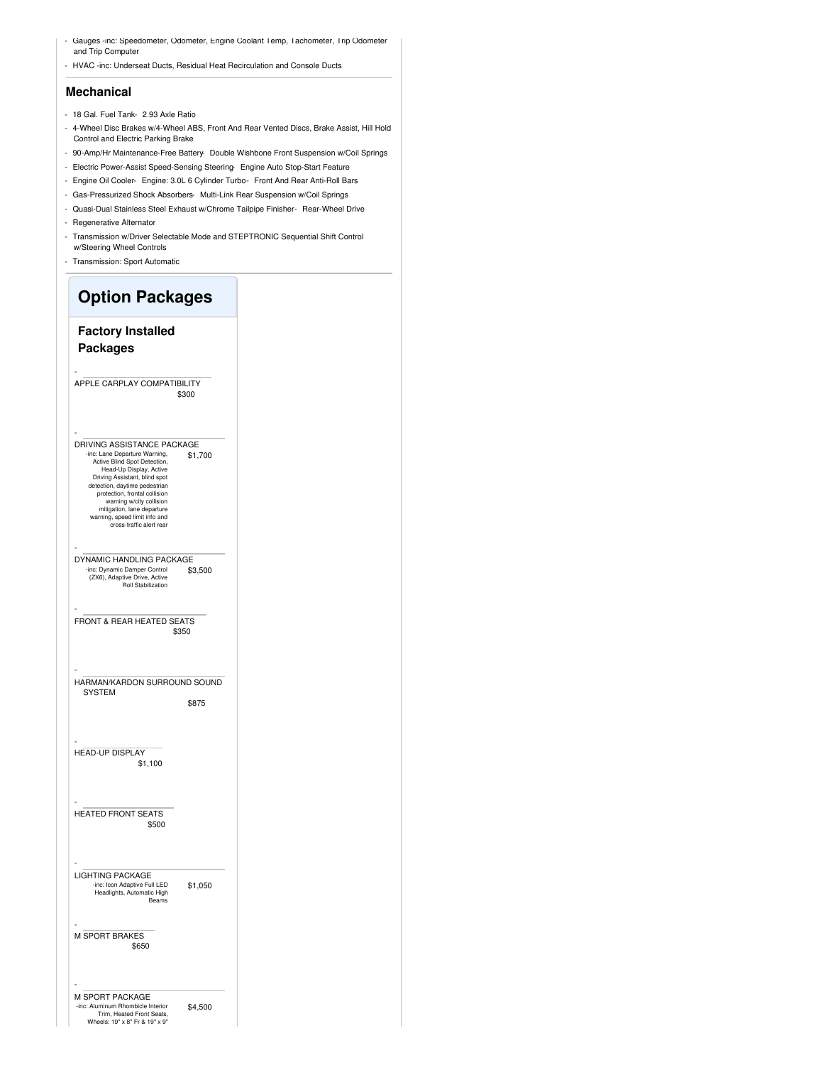- Gauges -inc: Speedometer, Odometer, Engine Coolant Temp, Tachometer, Trip Odometer and Trip Computer
- HVAC -inc: Underseat Ducts, Residual Heat Recirculation and Console Ducts

#### **Mechanical**

- 18 Gal. Fuel Tank- 2.93 Axle Ratio
- 4-Wheel Disc Brakes w/4-Wheel ABS, Front And Rear Vented Discs, Brake Assist, Hill Hold Control and Electric Parking Brake
- 90-Amp/Hr Maintenance-Free Battery- Double Wishbone Front Suspension w/Coil Springs
- Electric Power-Assist Speed-Sensing Steering- Engine Auto Stop-Start Feature
- Engine Oil Cooler- Engine: 3.0L 6 Cylinder Turbo- Front And Rear Anti-Roll Bars
- Gas-Pressurized Shock Absorbers- Multi-Link Rear Suspension w/Coil Springs
- Quasi-Dual Stainless Steel Exhaust w/Chrome Tailpipe Finisher- Rear-Wheel Drive
- Regenerative Alternator
- Transmission w/Driver Selectable Mode and STEPTRONIC Sequential Shift Control w/Steering Wheel Controls
- Transmission: Sport Automatic

| <b>Option Packages</b>                                                                                                                                                                                                                                                                                                                           |         |
|--------------------------------------------------------------------------------------------------------------------------------------------------------------------------------------------------------------------------------------------------------------------------------------------------------------------------------------------------|---------|
| <b>Factory Installed</b><br><b>Packages</b>                                                                                                                                                                                                                                                                                                      |         |
| APPLE CARPLAY COMPATIBILITY                                                                                                                                                                                                                                                                                                                      | \$300   |
| DRIVING ASSISTANCE PACKAGE<br>-inc: Lane Departure Warning,<br>Active Blind Spot Detection,<br>Head-Up Display, Active<br>Driving Assistant, blind spot<br>detection, daytime pedestrian<br>protection, frontal collision<br>warning w/city collision<br>mitigation, lane departure<br>warning, speed limit info and<br>cross-traffic alert rear | \$1,700 |
| DYNAMIC HANDLING PACKAGE<br>-inc: Dynamic Damper Control<br>(ZX6), Adaptive Drive, Active<br><b>Roll Stabilization</b>                                                                                                                                                                                                                           | \$3,500 |
| FRONT & REAR HEATED SEATS                                                                                                                                                                                                                                                                                                                        | \$350   |
| HARMAN/KARDON SURROUND SOUND<br><b>SYSTEM</b>                                                                                                                                                                                                                                                                                                    | \$875   |
| <b>HEAD-UP DISPLAY</b><br>\$1,100                                                                                                                                                                                                                                                                                                                |         |
| <b>HEATED FRONT SEATS</b><br>\$500                                                                                                                                                                                                                                                                                                               |         |
| <b>LIGHTING PACKAGE</b><br>nc: Icon Adaptive Full LED<br>Headlights, Automatic High<br>Beams                                                                                                                                                                                                                                                     | \$1,050 |
| <b>M SPORT BRAKES</b><br>\$650                                                                                                                                                                                                                                                                                                                   |         |
| M SPORT PACKAGE<br>-inc: Aluminum Rhombicle Interior<br>Trim, Heated Front Seats,<br>Wheels: 19" x 8" Fr & 19" x 9"                                                                                                                                                                                                                              | \$4,500 |